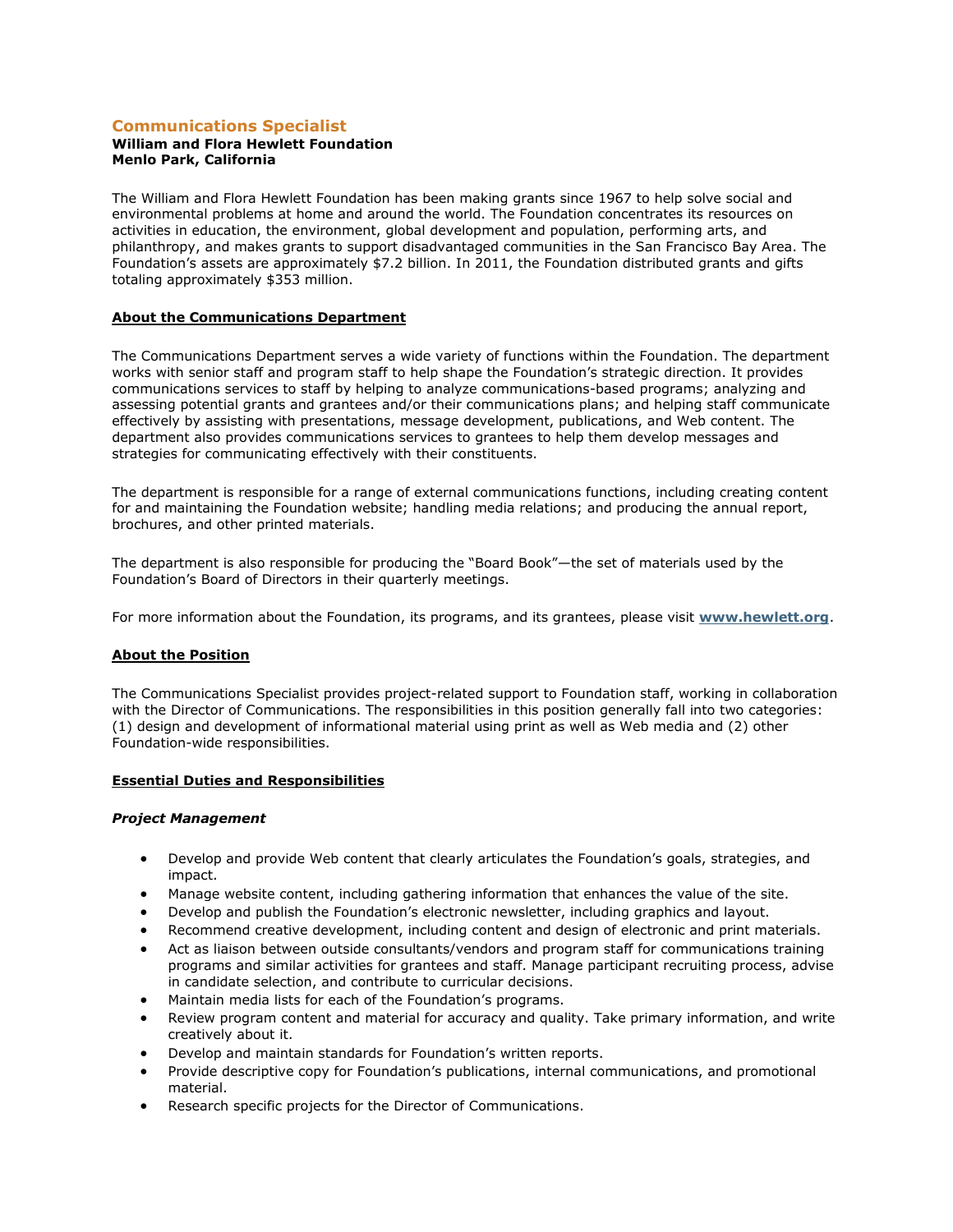# **Communications Specialist**

#### **William and Flora Hewlett Foundation Menlo Park, California**

The William and Flora Hewlett Foundation has been making grants since 1967 to help solve social and environmental problems at home and around the world. The Foundation concentrates its resources on activities in education, the environment, global development and population, performing arts, and philanthropy, and makes grants to support disadvantaged communities in the San Francisco Bay Area. The Foundation's assets are approximately \$7.2 billion. In 2011, the Foundation distributed grants and gifts totaling approximately \$353 million.

### **About the Communications Department**

The Communications Department serves a wide variety of functions within the Foundation. The department works with senior staff and program staff to help shape the Foundation's strategic direction. It provides communications services to staff by helping to analyze communications-based programs; analyzing and assessing potential grants and grantees and/or their communications plans; and helping staff communicate effectively by assisting with presentations, message development, publications, and Web content. The department also provides communications services to grantees to help them develop messages and strategies for communicating effectively with their constituents.

The department is responsible for a range of external communications functions, including creating content for and maintaining the Foundation website; handling media relations; and producing the annual report, brochures, and other printed materials.

The department is also responsible for producing the "Board Book"—the set of materials used by the Foundation's Board of Directors in their quarterly meetings.

For more information about the Foundation, its programs, and its grantees, please visit **[www.hewlett.org](http://www.hewlett.org/)**.

### **About the Position**

The Communications Specialist provides project-related support to Foundation staff, working in collaboration with the Director of Communications. The responsibilities in this position generally fall into two categories: (1) design and development of informational material using print as well as Web media and (2) other Foundation-wide responsibilities.

### **Essential Duties and Responsibilities**

### *Project Management*

- Develop and provide Web content that clearly articulates the Foundation's goals, strategies, and impact.
- Manage website content, including gathering information that enhances the value of the site.
- Develop and publish the Foundation's electronic newsletter, including graphics and layout.
- Recommend creative development, including content and design of electronic and print materials.
- Act as liaison between outside consultants/vendors and program staff for communications training programs and similar activities for grantees and staff. Manage participant recruiting process, advise in candidate selection, and contribute to curricular decisions.
- Maintain media lists for each of the Foundation's programs.
- Review program content and material for accuracy and quality. Take primary information, and write creatively about it.
- Develop and maintain standards for Foundation's written reports.
- Provide descriptive copy for Foundation's publications, internal communications, and promotional material.
- Research specific projects for the Director of Communications.